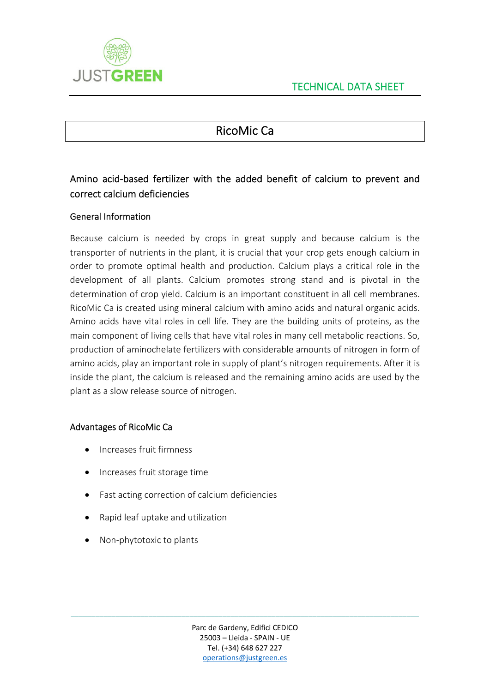

# RicoMic Ca

# Amino acid‐based fertilizer with the added benefit of calcium to prevent and correct calcium deficiencies

### General Information

Because calcium is needed by crops in great supply and because calcium is the transporter of nutrients in the plant, it is crucial that your crop gets enough calcium in order to promote optimal health and production. Calcium plays a critical role in the development of all plants. Calcium promotes strong stand and is pivotal in the determination of crop yield. Calcium is an important constituent in all cell membranes. RicoMic Ca is created using mineral calcium with amino acids and natural organic acids. Amino acids have vital roles in cell life. They are the building units of proteins, as the main component of living cells that have vital roles in many cell metabolic reactions. So, production of aminochelate fertilizers with considerable amounts of nitrogen in form of amino acids, play an important role in supply of plant's nitrogen requirements. After it is inside the plant, the calcium is released and the remaining amino acids are used by the plant as a slow release source of nitrogen.

#### Advantages of RicoMic Ca

- Increases fruit firmness
- Increases fruit storage time
- Fast acting correction of calcium deficiencies
- Rapid leaf uptake and utilization
- Non-phytotoxic to plants

\_\_\_\_\_\_\_\_\_\_\_\_\_\_\_\_\_\_\_\_\_\_\_\_\_\_\_\_\_\_\_\_\_\_\_\_\_\_\_\_\_\_\_\_\_\_\_\_\_\_\_\_\_\_\_\_\_\_\_\_\_\_\_\_\_\_\_\_\_\_\_\_\_\_\_\_\_\_\_\_\_\_\_\_\_